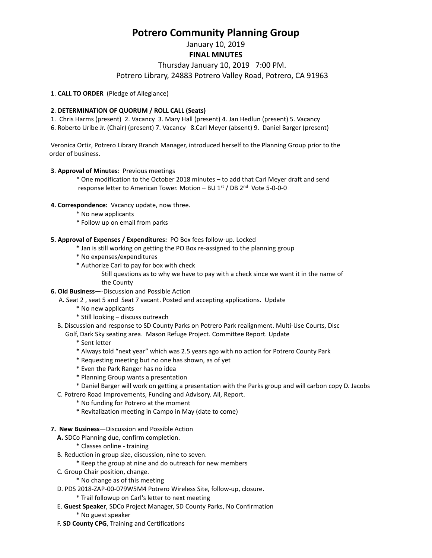# **Potrero Community Planning Group**

January 10, 2019

**FINAL MNUTES**

Thursday January 10, 2019 7:00 PM.

Potrero Library, 24883 Potrero Valley Road, Potrero, CA 91963

## **1**. **CALL TO ORDER** (Pledge of Allegiance)

## **2**. **DETERMINATION OF QUORUM / ROLL CALL (Seats)**

1. Chris Harms (present) 2. Vacancy 3. Mary Hall (present) 4. Jan Hedlun (present) 5. Vacancy

6. Roberto Uribe Jr. (Chair) (present) 7. Vacancy 8.Carl Meyer (absent) 9. Daniel Barger (present)

Veronica Ortiz, Potrero Library Branch Manager, introduced herself to the Planning Group prior to the order of business.

#### **3**. **Approval of Minutes**: Previous meetings

\* One modification to the October 2018 minutes – to add that Carl Meyer draft and send response letter to American Tower. Motion – BU  $1^{st}$  / DB  $2^{nd}$  Vote 5-0-0-0

## **4. Correspondence:** Vacancy update, now three.

- \* No new applicants
- \* Follow up on email from parks

## **5. Approval of Expenses / Expenditures:** PO Box fees follow-up. Locked

- \* Jan is still working on getting the PO Box re-assigned to the planning group
- \* No expenses/expenditures
- \* Authorize Carl to pay for box with check

Still questions as to why we have to pay with a check since we want it in the name of the County

- **6. Old Business**—-Discussion and Possible Action
	- A. Seat 2 , seat 5 and Seat 7 vacant. Posted and accepting applications. Update
		- \* No new applicants
		- \* Still looking discuss outreach
	- B**.** Discussion and response to SD County Parks on Potrero Park realignment. Multi-Use Courts, Disc
		- Golf, Dark Sky seating area. Mason Refuge Project. Committee Report. Update
			- \* Sent letter
			- \* Always told "next year" which was 2.5 years ago with no action for Potrero County Park
			- \* Requesting meeting but no one has shown, as of yet
			- \* Even the Park Ranger has no idea
			- \* Planning Group wants a presentation
			- \* Daniel Barger will work on getting a presentation with the Parks group and will carbon copy D. Jacobs
	- C. Potrero Road Improvements, Funding and Advisory. All, Report.
		- \* No funding for Potrero at the moment
			- \* Revitalization meeting in Campo in May (date to come)
- **7. New Business**—Discussion and Possible Action
	- **A.** SDCo Planning due, confirm completion.
		- \* Classes online training
	- B. Reduction in group size, discussion, nine to seven.
		- \* Keep the group at nine and do outreach for new members
	- C. Group Chair position, change.
		- \* No change as of this meeting
	- D. PDS 2018-ZAP-00-079W5M4 Potrero Wireless Site, follow-up, closure.
		- \* Trail followup on Carl's letter to next meeting
	- E. **Guest Speaker**, SDCo Project Manager, SD County Parks, No Confirmation
		- \* No guest speaker
	- F. **SD County CPG**, Training and Certifications